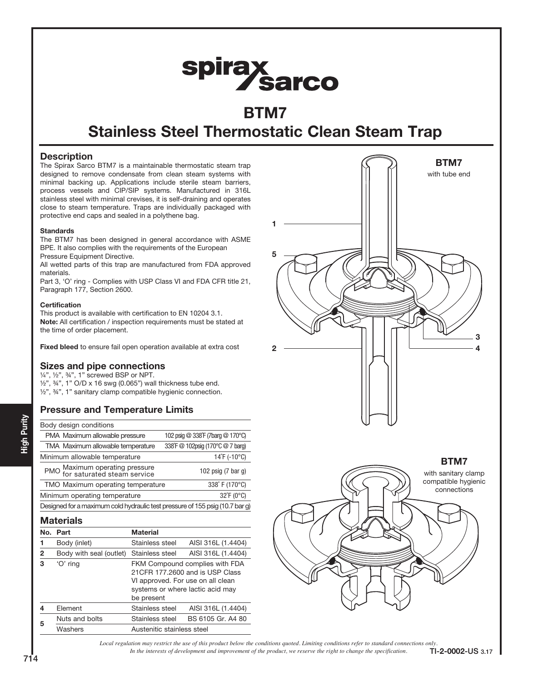# spirax<br>Sarco

# BTM7

# Stainless Steel Thermostatic Clean Steam Trap

### **Description**

The Spirax Sarco BTM7 is a maintainable thermostatic steam trap designed to remove condensate from clean steam systems with minimal backing up. Applications include sterile steam barriers, process vessels and CIP/SIP systems. Manufactured in 316L stainless steel with minimal crevises, it is self-draining and operates close to steam temperature. Traps are individually packaged with protective end caps and sealed in a polythene bag.

#### **Standards**

The BTM7 has been designed in general accordance with ASME BPE. It also complies with the requirements of the European Pressure Equipment Directive.

All wetted parts of this trap are manufactured from FDA approved materials.

Part 3, 'O' ring - Complies with USP Class VI and FDA CFR title 21, Paragraph 177, Section 2600.

#### **Certification**

This product is available with certification to EN 10204 3.1. Note: All certification / inspection requirements must be stated at the time of order placement.

Fixed bleed to ensure fail open operation available at extra cost

## Sizes and pipe connections

¼", ½", ¾", 1" screwed BSP or NPT.  $\frac{1}{2}$ ,  $\frac{3}{4}$ , 1" O/D x 16 swg (0.065") wall thickness tube end. ½", ¾", 1" sanitary clamp compatible hygienic connection.

## Pressure and Temperature Limits

| Body design conditions                                                       |                                   |  |  |  |  |
|------------------------------------------------------------------------------|-----------------------------------|--|--|--|--|
| PMA Maximum allowable pressure                                               | 102 psig @ 338 F (7barg @ 170 °C) |  |  |  |  |
| TMA Maximum allowable temperature                                            | 338°F @ 102psig (170°C @ 7 barg)  |  |  |  |  |
| Minimum allowable temperature                                                | 14°F (-10°C)                      |  |  |  |  |
| PMO Maximum operating pressure<br>for saturated steam service                | 102 psig $(7 \text{ bar } q)$     |  |  |  |  |
| TMO Maximum operating temperature                                            | 338°F (170°C)                     |  |  |  |  |
| Minimum operating temperature                                                | 32°F (0°C)                        |  |  |  |  |
| Designed for a maximum cold hydraulic test pressure of 155 psig (10.7 bar g) |                                   |  |  |  |  |

### **Materials**

| No. | Part                    | <b>Material</b>                                                                                                                                           |                    |  |
|-----|-------------------------|-----------------------------------------------------------------------------------------------------------------------------------------------------------|--------------------|--|
|     | Body (inlet)            | Stainless steel                                                                                                                                           | AISI 316L (1.4404) |  |
| 2   | Body with seal (outlet) | Stainless steel                                                                                                                                           | AISI 316L (1.4404) |  |
| 3   | 'O' ring                | FKM Compound complies with FDA<br>21 CFR 177,2600 and is USP Class<br>VI approved. For use on all clean<br>systems or where lactic acid may<br>be present |                    |  |
|     | Element                 | Stainless steel                                                                                                                                           | AISI 316L (1.4404) |  |
| 5   | Nuts and bolts          | Stainless steel                                                                                                                                           | BS 6105 Gr. A4 80  |  |
|     | Washers                 | Austenitic stainless steel                                                                                                                                |                    |  |



*Local regulation may restrict the use of this product below the conditions quoted. Limiting conditions refer to standard connections only.*<br>In the interests of development and improvement of the product, we reserve the ri In the interests of development and improvement of the product, we reserve the right to change the specification.